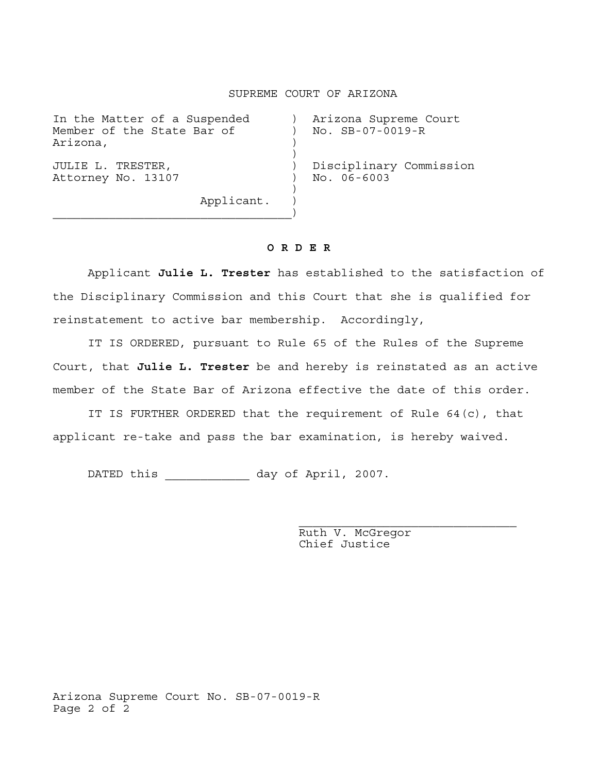## SUPREME COURT OF ARIZONA

| In the Matter of a Suspended<br>Member of the State Bar of<br>Arizona, | Arizona Supreme Court<br>No. SB-07-0019-R  |
|------------------------------------------------------------------------|--------------------------------------------|
| JULIE L. TRESTER,<br>Attorney No. 13107<br>Applicant.                  | Disciplinary Commission<br>$NO. 06 - 6003$ |

 $\overline{\phantom{a}}$  , and the contract of  $\overline{\phantom{a}}$ 

## **O R D E R**

 Applicant **Julie L. Trester** has established to the satisfaction of the Disciplinary Commission and this Court that she is qualified for reinstatement to active bar membership. Accordingly,

 IT IS ORDERED, pursuant to Rule 65 of the Rules of the Supreme Court, that **Julie L. Trester** be and hereby is reinstated as an active member of the State Bar of Arizona effective the date of this order.

IT IS FURTHER ORDERED that the requirement of Rule 64(c), that applicant re-take and pass the bar examination, is hereby waived.

DATED this \_\_\_\_\_\_\_\_\_\_\_\_ day of April, 2007.

 Ruth V. McGregor Chief Justice

Arizona Supreme Court No. SB-07-0019-R Page 2 of 2